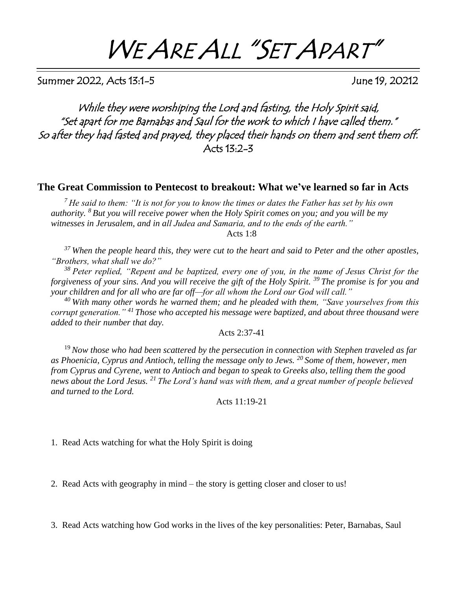# WE ARE ALL "SET APART"

Summer 2022, Acts 13:1-5 June 19, 20212

While they were worshiping the Lord and fasting, the Holy Spirit said, "Set apart for me Barnabas and Saul for the work to which I have called them." So after they had fasted and prayed, they placed their hands on them and sent them off. Acts 13:2-3

#### **The Great Commission to Pentecost to breakout: What we've learned so far in Acts**

*<sup>7</sup>He said to them: "It is not for you to know the times or dates the Father has set by his own authority. <sup>8</sup>But you will receive power when the Holy Spirit comes on you; and you will be my witnesses in Jerusalem, and in all Judea and Samaria, and to the ends of the earth."* Acts 1:8

*<sup>37</sup>When the people heard this, they were cut to the heart and said to Peter and the other apostles, "Brothers, what shall we do?"* 

*<sup>38</sup>Peter replied, "Repent and be baptized, every one of you, in the name of Jesus Christ for the forgiveness of your sins. And you will receive the gift of the Holy Spirit. <sup>39</sup>The promise is for you and your children and for all who are far off—for all whom the Lord our God will call."* 

*<sup>40</sup>With many other words he warned them; and he pleaded with them, "Save yourselves from this corrupt generation." <sup>41</sup>Those who accepted his message were baptized, and about three thousand were added to their number that day.*

Acts 2:37-41

<sup>19</sup>*Now those who had been scattered by the persecution in connection with Stephen traveled as far as Phoenicia, Cyprus and Antioch, telling the message only to Jews. <sup>20</sup>Some of them, however, men from Cyprus and Cyrene, went to Antioch and began to speak to Greeks also, telling them the good news about the Lord Jesus. <sup>21</sup>The Lord's hand was with them, and a great number of people believed and turned to the Lord.*

Acts 11:19-21

1. Read Acts watching for what the Holy Spirit is doing

2. Read Acts with geography in mind – the story is getting closer and closer to us!

3. Read Acts watching how God works in the lives of the key personalities: Peter, Barnabas, Saul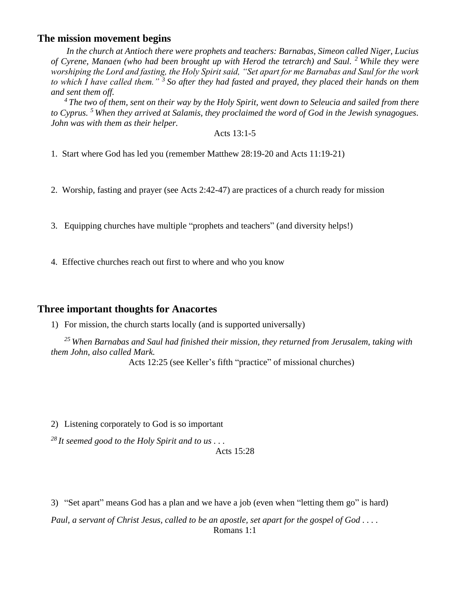#### **The mission movement begins**

*In the church at Antioch there were prophets and teachers: Barnabas, Simeon called Niger, Lucius of Cyrene, Manaen (who had been brought up with Herod the tetrarch) and Saul. <sup>2</sup>While they were worshiping the Lord and fasting, the Holy Spirit said, "Set apart for me Barnabas and Saul for the work to which I have called them." <sup>3</sup>So after they had fasted and prayed, they placed their hands on them and sent them off.* 

*<sup>4</sup>The two of them, sent on their way by the Holy Spirit, went down to Seleucia and sailed from there to Cyprus. <sup>5</sup>When they arrived at Salamis, they proclaimed the word of God in the Jewish synagogues. John was with them as their helper.*

Acts 13:1-5

- 1. Start where God has led you (remember Matthew 28:19-20 and Acts 11:19-21)
- 2. Worship, fasting and prayer (see Acts 2:42-47) are practices of a church ready for mission
- 3. Equipping churches have multiple "prophets and teachers" (and diversity helps!)
- 4. Effective churches reach out first to where and who you know

### **Three important thoughts for Anacortes**

1) For mission, the church starts locally (and is supported universally)

*<sup>25</sup>When Barnabas and Saul had finished their mission, they returned from Jerusalem, taking with them John, also called Mark.* 

Acts 12:25 (see Keller's fifth "practice" of missional churches)

2) Listening corporately to God is so important

*<sup>28</sup>It seemed good to the Holy Spirit and to us . . .*

Acts 15:28

3) "Set apart" means God has a plan and we have a job (even when "letting them go" is hard)

*Paul, a servant of Christ Jesus, called to be an apostle, set apart for the gospel of God . . . .* Romans 1:1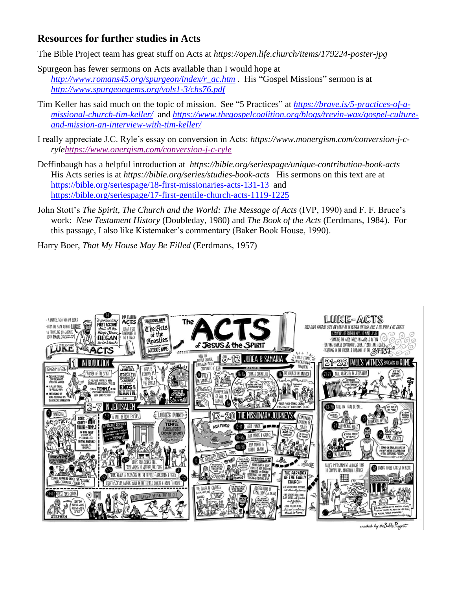## **Resources for further studies in Acts**

The Bible Project team has great stuff on Acts at *<https://open.life.church/items/179224-poster-jpg>*

- Spurgeon has fewer sermons on Acts available than I would hope at *[http://www.romans45.org/spurgeon/index/r\\_ac.htm](http://www.romans45.org/spurgeon/index/r_ac.htm) .* His "Gospel Missions" sermon is at *<http://www.spurgeongems.org/vols1-3/chs76.pdf>*
- Tim Keller has said much on the topic of mission. See "5 Practices" at *[https://brave.is/5-practices-of-a](https://brave.is/5-practices-of-a-missional-church-tim-keller/)[missional-church-tim-keller/](https://brave.is/5-practices-of-a-missional-church-tim-keller/)* and *[https://www.thegospelcoalition.org/blogs/trevin-wax/gospel-culture](https://www.thegospelcoalition.org/blogs/trevin-wax/gospel-culture-and-mission-an-interview-with-tim-keller/)[and-mission-an-interview-with-tim-keller/](https://www.thegospelcoalition.org/blogs/trevin-wax/gospel-culture-and-mission-an-interview-with-tim-keller/)*
- I really appreciate J.C. Ryle's essay on conversion in Acts: *https://www.monergism.com/conversion-j-cryl[ehttps://www.onergism.com/conversion-j-c-ryle](https://www.onergism.com/conversion-j-c-ryle)*
- Deffinbaugh has a helpful introduction at *[https://bible.org/seriespage/unique-contribution-book-acts](https://bible.org/seriespage/unique-contribution-book-acts )* His Acts series is at *<https://bible.org/series/studies-book-acts>* His sermons on this text are at <https://bible.org/seriespage/18-first-missionaries-acts-131-13>and <https://bible.org/seriespage/17-first-gentile-church-acts-1119-1225>
- John Stott's *The Spirit, The Church and the World: The Message of Acts* (IVP, 1990) and F. F. Bruce's work: *New Testament History* (Doubleday, 1980) and *The Book of the Acts* (Eerdmans, 1984). For this passage, I also like Kistemaker's commentary (Baker Book House, 1990).

Harry Boer, *That My House May Be Filled* (Eerdmans, 1957)



created by the Bible Project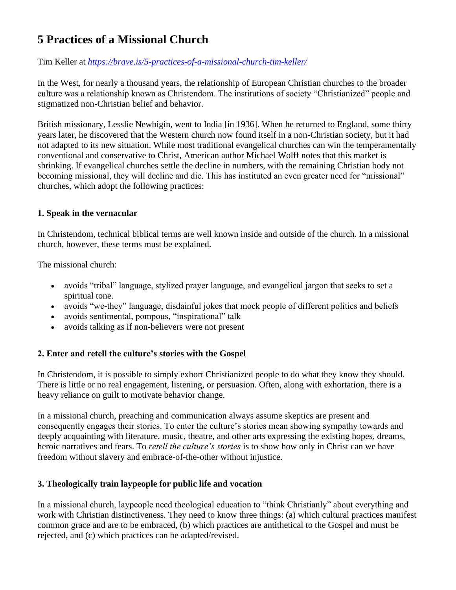# **5 Practices of a Missional Church**

#### Tim Keller at *<https://brave.is/5-practices-of-a-missional-church-tim-keller/>*

In the West, for nearly a thousand years, the relationship of European Christian churches to the broader culture was a relationship known as Christendom. The institutions of society "Christianized" people and stigmatized non-Christian belief and behavior.

British missionary, Lesslie Newbigin, went to India [in 1936]. When he returned to England, some thirty years later, he discovered that the Western church now found itself in a non-Christian society, but it had not adapted to its new situation. While most traditional evangelical churches can win the temperamentally conventional and conservative to Christ, American author Michael Wolff notes that this market is shrinking. If evangelical churches settle the decline in numbers, with the remaining Christian body not becoming missional, they will decline and die. This has instituted an even greater need for "missional" churches, which adopt the following practices:

#### **1. Speak in the vernacular**

In Christendom, technical biblical terms are well known inside and outside of the church. In a missional church, however, these terms must be explained.

The missional church:

- avoids "tribal" language, stylized prayer language, and evangelical jargon that seeks to set a spiritual tone.
- avoids "we-they" language, disdainful jokes that mock people of different politics and beliefs
- avoids sentimental, pompous, "inspirational" talk
- avoids talking as if non-believers were not present

#### **2. Enter and retell the culture's stories with the Gospel**

In Christendom, it is possible to simply exhort Christianized people to do what they know they should. There is little or no real engagement, listening, or persuasion. Often, along with exhortation, there is a heavy reliance on guilt to motivate behavior change.

In a missional church, preaching and communication always assume skeptics are present and consequently engages their stories. To enter the culture's stories mean showing sympathy towards and deeply acquainting with literature, music, theatre, and other arts expressing the existing hopes, dreams, heroic narratives and fears. To *retell the culture's stories* is to show how only in Christ can we have freedom without slavery and embrace-of-the-other without injustice.

#### **3. Theologically train laypeople for public life and vocation**

In a missional church, laypeople need theological education to "think Christianly" about everything and work with Christian distinctiveness. They need to know three things: (a) which cultural practices manifest common grace and are to be embraced, (b) which practices are antithetical to the Gospel and must be rejected, and (c) which practices can be adapted/revised.